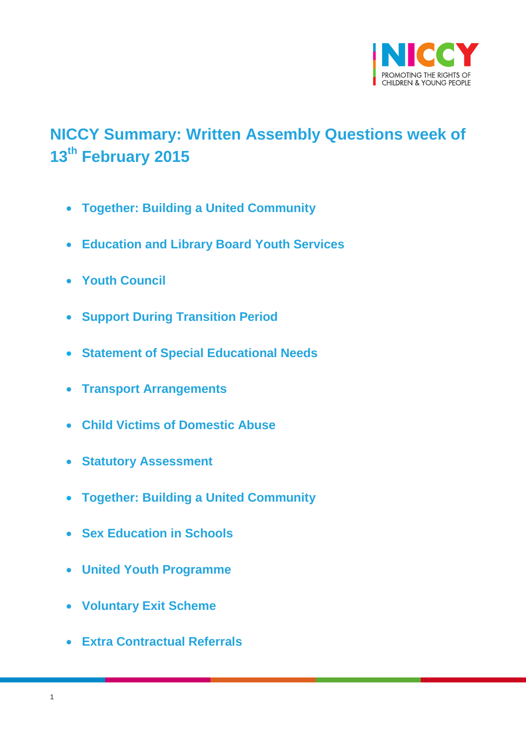

# <span id="page-0-0"></span>**NICCY Summary: Written Assembly Questions week of 13th February 2015**

- **[Together: Building a United Community](#page-2-0)**
- **[Education and Library Board Youth Services](#page-3-0)**
- **[Youth Council](#page-3-1)**
- **[Support During Transition Period](#page-4-0)**
- **[Statement of Special Educational Needs](#page-5-0)**
- **[Transport Arrangements](#page-5-1)**
- **[Child Victims of Domestic Abuse](#page-6-0)**
- **[Statutory Assessment](#page-7-0)**
- **[Together: Building a United Community](#page-8-0)**
- **[Sex Education in Schools](#page-8-1)**
- **[United Youth Programme](#page-10-0)**
- **[Voluntary Exit Scheme](#page-11-0)**
- **[Extra Contractual Referrals](#page-12-0)**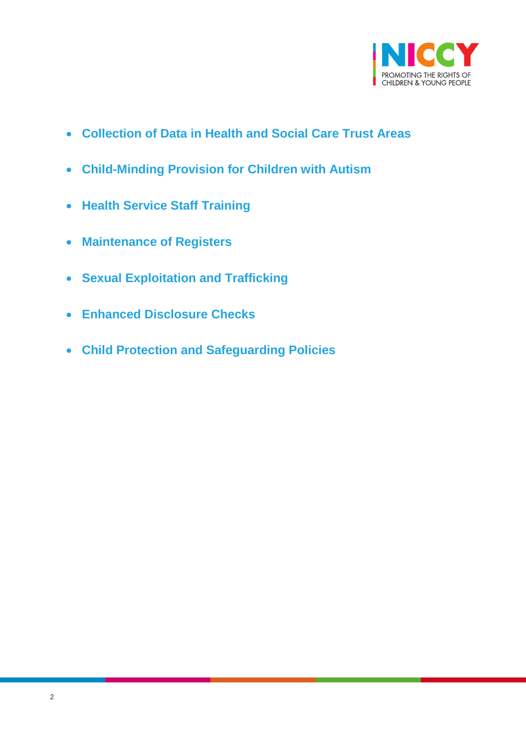

- **[Collection of Data in Health and Social Care Trust Areas](#page-13-0)**
- **[Child-Minding Provision for Children with Autism](#page-13-1)**
- **[Health Service Staff Training](#page-14-0)**
- **[Maintenance of Registers](#page-15-0)**
- **[Sexual Exploitation and Trafficking](#page-16-0)**
- **[Enhanced Disclosure Checks](#page-17-0)**
- **[Child Protection and Safeguarding Policies](#page-18-0)**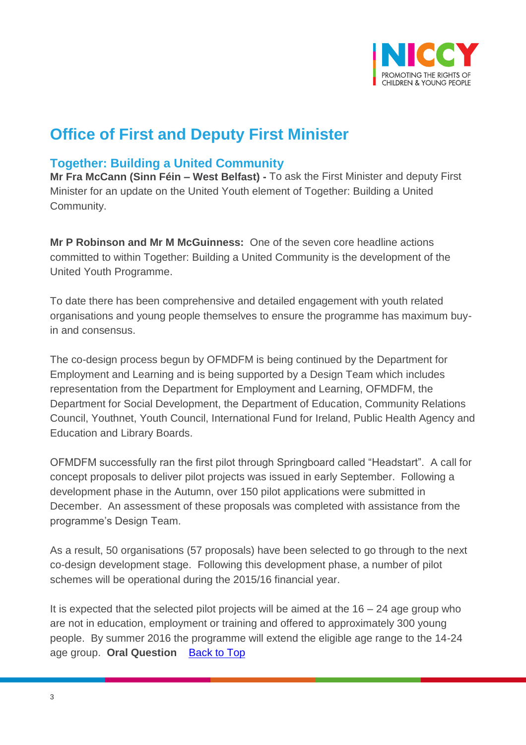

## **Office of First and Deputy First Minister**

### <span id="page-2-0"></span>**Together: Building a United Community**

**Mr Fra McCann (Sinn Féin – West Belfast) -** To ask the First Minister and deputy First Minister for an update on the United Youth element of Together: Building a United Community.

**Mr P Robinson and Mr M McGuinness:** One of the seven core headline actions committed to within Together: Building a United Community is the development of the United Youth Programme.

To date there has been comprehensive and detailed engagement with youth related organisations and young people themselves to ensure the programme has maximum buyin and consensus.

The co-design process begun by OFMDFM is being continued by the Department for Employment and Learning and is being supported by a Design Team which includes representation from the Department for Employment and Learning, OFMDFM, the Department for Social Development, the Department of Education, Community Relations Council, Youthnet, Youth Council, International Fund for Ireland, Public Health Agency and Education and Library Boards.

OFMDFM successfully ran the first pilot through Springboard called "Headstart". A call for concept proposals to deliver pilot projects was issued in early September. Following a development phase in the Autumn, over 150 pilot applications were submitted in December. An assessment of these proposals was completed with assistance from the programme's Design Team.

As a result, 50 organisations (57 proposals) have been selected to go through to the next co-design development stage. Following this development phase, a number of pilot schemes will be operational during the 2015/16 financial year.

It is expected that the selected pilot projects will be aimed at the  $16 - 24$  age group who are not in education, employment or training and offered to approximately 300 young people. By summer 2016 the programme will extend the eligible age range to the 14-24 age group. **Oral Question** [Back to Top](#page-0-0)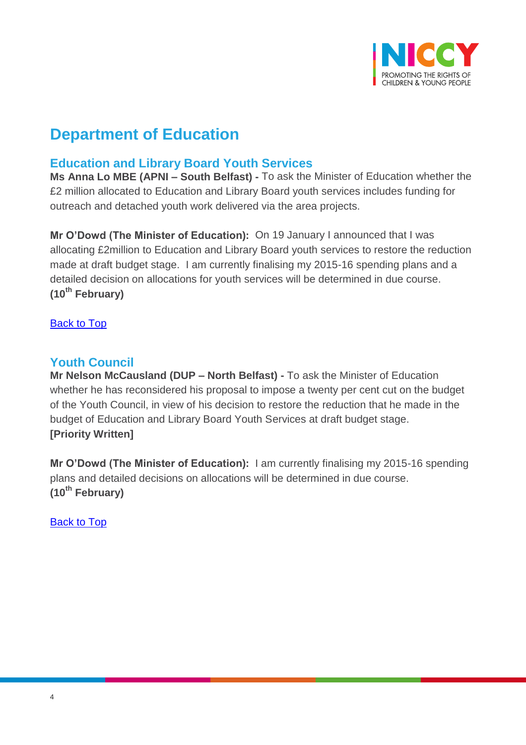

## **Department of Education**

### <span id="page-3-0"></span>**Education and Library Board Youth Services**

**Ms Anna Lo MBE (APNI – South Belfast) -** To ask the Minister of Education whether the £2 million allocated to Education and Library Board youth services includes funding for outreach and detached youth work delivered via the area projects.

**Mr O'Dowd (The Minister of Education):** On 19 January I announced that I was allocating £2million to Education and Library Board youth services to restore the reduction made at draft budget stage. I am currently finalising my 2015-16 spending plans and a detailed decision on allocations for youth services will be determined in due course. **(10th February)**

**[Back to Top](#page-0-0)** 

### <span id="page-3-1"></span>**Youth Council**

**Mr Nelson McCausland (DUP – North Belfast) -** To ask the Minister of Education whether he has reconsidered his proposal to impose a twenty per cent cut on the budget of the Youth Council, in view of his decision to restore the reduction that he made in the budget of Education and Library Board Youth Services at draft budget stage. **[Priority Written]**

**Mr O'Dowd (The Minister of Education):** I am currently finalising my 2015-16 spending plans and detailed decisions on allocations will be determined in due course. **(10th February)**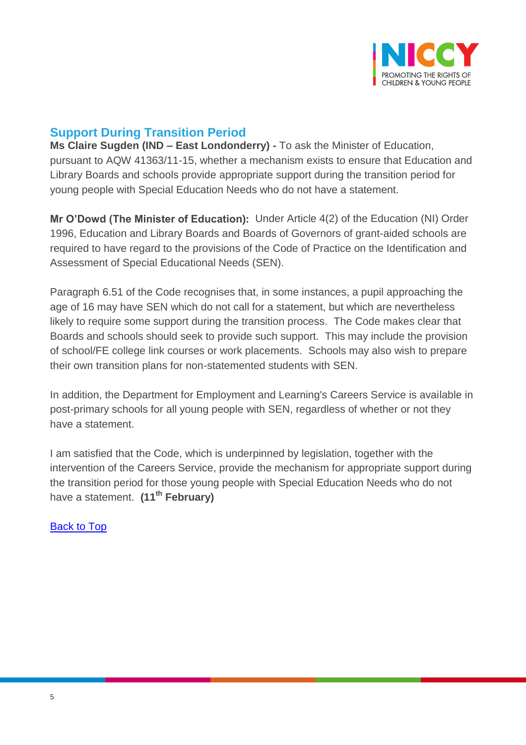

## <span id="page-4-0"></span>**Support During Transition Period**

**Ms Claire Sugden (IND – East Londonderry) -** To ask the Minister of Education, pursuant to AQW 41363/11-15, whether a mechanism exists to ensure that Education and Library Boards and schools provide appropriate support during the transition period for young people with Special Education Needs who do not have a statement.

**Mr O'Dowd (The Minister of Education):** Under Article 4(2) of the Education (NI) Order 1996, Education and Library Boards and Boards of Governors of grant-aided schools are required to have regard to the provisions of the Code of Practice on the Identification and Assessment of Special Educational Needs (SEN).

Paragraph 6.51 of the Code recognises that, in some instances, a pupil approaching the age of 16 may have SEN which do not call for a statement, but which are nevertheless likely to require some support during the transition process. The Code makes clear that Boards and schools should seek to provide such support. This may include the provision of school/FE college link courses or work placements. Schools may also wish to prepare their own transition plans for non-statemented students with SEN.

In addition, the Department for Employment and Learning's Careers Service is available in post-primary schools for all young people with SEN, regardless of whether or not they have a statement.

I am satisfied that the Code, which is underpinned by legislation, together with the intervention of the Careers Service, provide the mechanism for appropriate support during the transition period for those young people with Special Education Needs who do not have a statement. **(11th February)**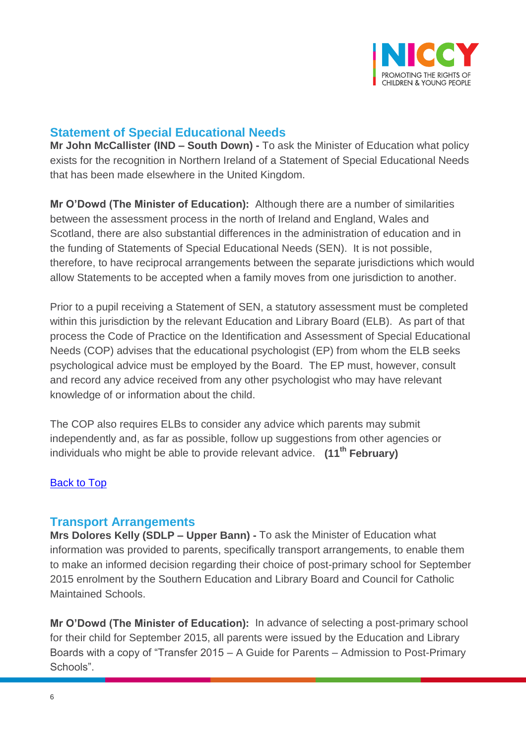

### <span id="page-5-0"></span>**Statement of Special Educational Needs**

**Mr John McCallister (IND – South Down) -** To ask the Minister of Education what policy exists for the recognition in Northern Ireland of a Statement of Special Educational Needs that has been made elsewhere in the United Kingdom.

**Mr O'Dowd (The Minister of Education):** Although there are a number of similarities between the assessment process in the north of Ireland and England, Wales and Scotland, there are also substantial differences in the administration of education and in the funding of Statements of Special Educational Needs (SEN). It is not possible, therefore, to have reciprocal arrangements between the separate jurisdictions which would allow Statements to be accepted when a family moves from one jurisdiction to another.

Prior to a pupil receiving a Statement of SEN, a statutory assessment must be completed within this jurisdiction by the relevant Education and Library Board (ELB). As part of that process the Code of Practice on the Identification and Assessment of Special Educational Needs (COP) advises that the educational psychologist (EP) from whom the ELB seeks psychological advice must be employed by the Board. The EP must, however, consult and record any advice received from any other psychologist who may have relevant knowledge of or information about the child.

The COP also requires ELBs to consider any advice which parents may submit independently and, as far as possible, follow up suggestions from other agencies or individuals who might be able to provide relevant advice. **(11th February)**

#### [Back to Top](#page-0-0)

#### <span id="page-5-1"></span>**Transport Arrangements**

**Mrs Dolores Kelly (SDLP – Upper Bann) -** To ask the Minister of Education what information was provided to parents, specifically transport arrangements, to enable them to make an informed decision regarding their choice of post-primary school for September 2015 enrolment by the Southern Education and Library Board and Council for Catholic Maintained Schools.

**Mr O'Dowd (The Minister of Education):** In advance of selecting a post-primary school for their child for September 2015, all parents were issued by the Education and Library Boards with a copy of "Transfer 2015 – A Guide for Parents – Admission to Post-Primary Schools".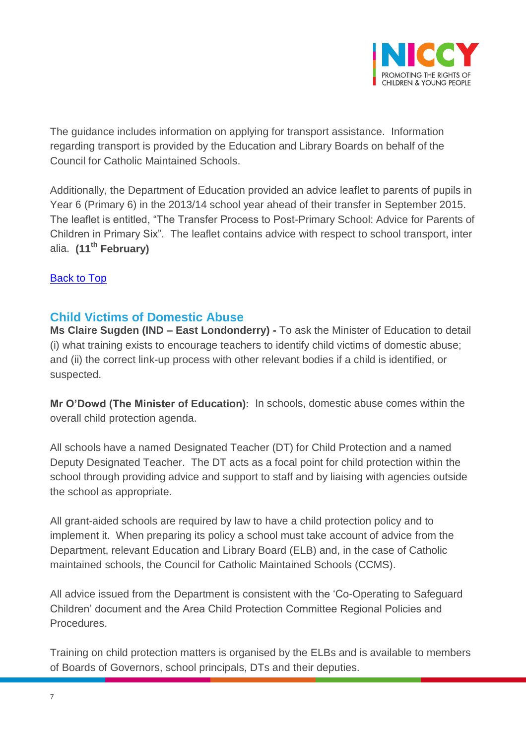

The guidance includes information on applying for transport assistance. Information regarding transport is provided by the Education and Library Boards on behalf of the Council for Catholic Maintained Schools.

Additionally, the Department of Education provided an advice leaflet to parents of pupils in Year 6 (Primary 6) in the 2013/14 school year ahead of their transfer in September 2015. The leaflet is entitled, "The Transfer Process to Post-Primary School: Advice for Parents of Children in Primary Six". The leaflet contains advice with respect to school transport, inter alia. **(11th February)**

#### [Back to Top](#page-0-0)

### <span id="page-6-0"></span>**Child Victims of Domestic Abuse**

**Ms Claire Sugden (IND – East Londonderry) -** To ask the Minister of Education to detail (i) what training exists to encourage teachers to identify child victims of domestic abuse; and (ii) the correct link-up process with other relevant bodies if a child is identified, or suspected.

**Mr O'Dowd (The Minister of Education):** In schools, domestic abuse comes within the overall child protection agenda.

All schools have a named Designated Teacher (DT) for Child Protection and a named Deputy Designated Teacher. The DT acts as a focal point for child protection within the school through providing advice and support to staff and by liaising with agencies outside the school as appropriate.

All grant-aided schools are required by law to have a child protection policy and to implement it. When preparing its policy a school must take account of advice from the Department, relevant Education and Library Board (ELB) and, in the case of Catholic maintained schools, the Council for Catholic Maintained Schools (CCMS).

All advice issued from the Department is consistent with the 'Co-Operating to Safeguard Children' document and the Area Child Protection Committee Regional Policies and Procedures.

Training on child protection matters is organised by the ELBs and is available to members of Boards of Governors, school principals, DTs and their deputies.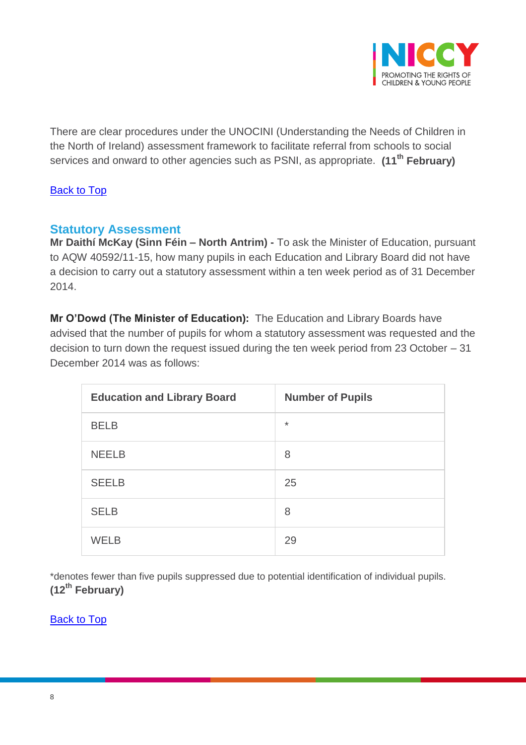

There are clear procedures under the UNOCINI (Understanding the Needs of Children in the North of Ireland) assessment framework to facilitate referral from schools to social services and onward to other agencies such as PSNI, as appropriate. **(11th February)**

### [Back to Top](#page-0-0)

### <span id="page-7-0"></span>**Statutory Assessment**

**Mr Daithí McKay (Sinn Féin – North Antrim) -** To ask the Minister of Education, pursuant to AQW 40592/11-15, how many pupils in each Education and Library Board did not have a decision to carry out a statutory assessment within a ten week period as of 31 December 2014.

**Mr O'Dowd (The Minister of Education):** The Education and Library Boards have advised that the number of pupils for whom a statutory assessment was requested and the decision to turn down the request issued during the ten week period from 23 October – 31 December 2014 was as follows:

| <b>Education and Library Board</b> | <b>Number of Pupils</b> |
|------------------------------------|-------------------------|
| <b>BELB</b>                        | $\star$                 |
| <b>NEELB</b>                       | 8                       |
| <b>SEELB</b>                       | 25                      |
| <b>SELB</b>                        | 8                       |
| <b>WELB</b>                        | 29                      |

\*denotes fewer than five pupils suppressed due to potential identification of individual pupils. **(12th February)**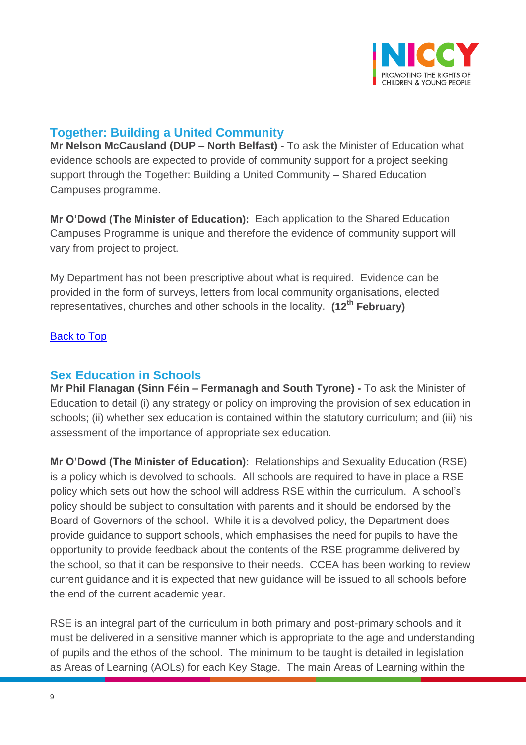

### <span id="page-8-0"></span>**Together: Building a United Community**

**Mr Nelson McCausland (DUP – North Belfast) -** To ask the Minister of Education what evidence schools are expected to provide of community support for a project seeking support through the Together: Building a United Community – Shared Education Campuses programme.

**Mr O'Dowd (The Minister of Education):** Each application to the Shared Education Campuses Programme is unique and therefore the evidence of community support will vary from project to project.

My Department has not been prescriptive about what is required. Evidence can be provided in the form of surveys, letters from local community organisations, elected representatives, churches and other schools in the locality. **(12th February)**

### [Back to Top](#page-0-0)

### <span id="page-8-1"></span>**Sex Education in Schools**

**Mr Phil Flanagan (Sinn Féin – Fermanagh and South Tyrone) -** To ask the Minister of Education to detail (i) any strategy or policy on improving the provision of sex education in schools; (ii) whether sex education is contained within the statutory curriculum; and (iii) his assessment of the importance of appropriate sex education.

**Mr O'Dowd (The Minister of Education):** Relationships and Sexuality Education (RSE) is a policy which is devolved to schools. All schools are required to have in place a RSE policy which sets out how the school will address RSE within the curriculum. A school's policy should be subject to consultation with parents and it should be endorsed by the Board of Governors of the school. While it is a devolved policy, the Department does provide guidance to support schools, which emphasises the need for pupils to have the opportunity to provide feedback about the contents of the RSE programme delivered by the school, so that it can be responsive to their needs. CCEA has been working to review current guidance and it is expected that new guidance will be issued to all schools before the end of the current academic year.

RSE is an integral part of the curriculum in both primary and post-primary schools and it must be delivered in a sensitive manner which is appropriate to the age and understanding of pupils and the ethos of the school. The minimum to be taught is detailed in legislation as Areas of Learning (AOLs) for each Key Stage. The main Areas of Learning within the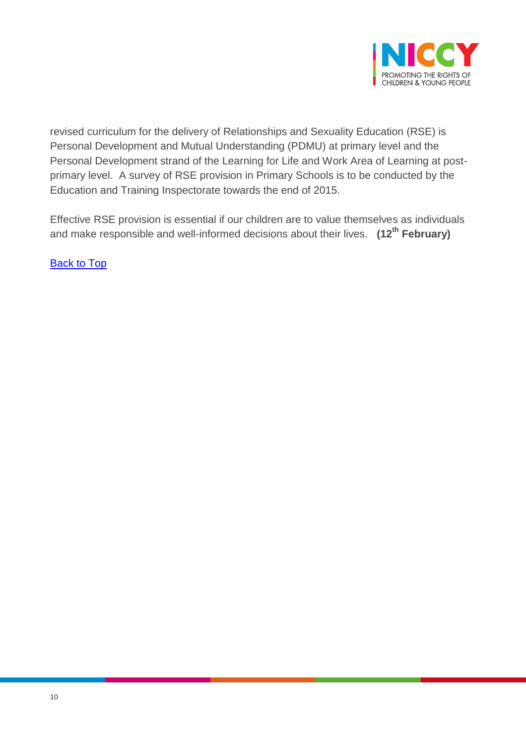

revised curriculum for the delivery of Relationships and Sexuality Education (RSE) is Personal Development and Mutual Understanding (PDMU) at primary level and the Personal Development strand of the Learning for Life and Work Area of Learning at postprimary level. A survey of RSE provision in Primary Schools is to be conducted by the Education and Training Inspectorate towards the end of 2015.

Effective RSE provision is essential if our children are to value themselves as individuals and make responsible and well-informed decisions about their lives. **(12th February)**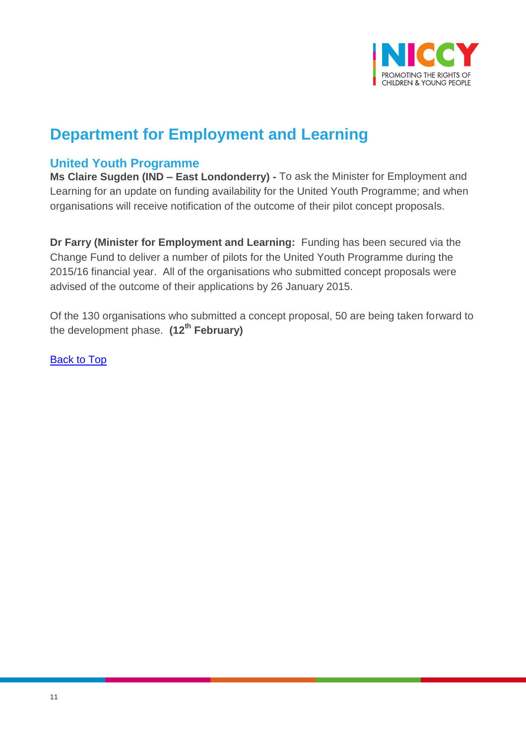

## **Department for Employment and Learning**

### <span id="page-10-0"></span>**United Youth Programme**

**Ms Claire Sugden (IND – East Londonderry) -** To ask the Minister for Employment and Learning for an update on funding availability for the United Youth Programme; and when organisations will receive notification of the outcome of their pilot concept proposals.

**Dr Farry (Minister for Employment and Learning:** Funding has been secured via the Change Fund to deliver a number of pilots for the United Youth Programme during the 2015/16 financial year. All of the organisations who submitted concept proposals were advised of the outcome of their applications by 26 January 2015.

Of the 130 organisations who submitted a concept proposal, 50 are being taken forward to the development phase. **(12th February)**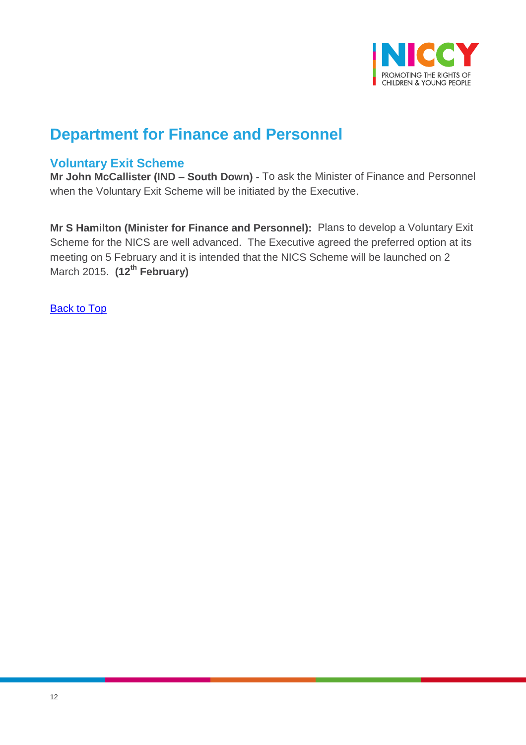

## **Department for Finance and Personnel**

### <span id="page-11-0"></span>**Voluntary Exit Scheme**

**Mr John McCallister (IND – South Down) -** To ask the Minister of Finance and Personnel when the Voluntary Exit Scheme will be initiated by the Executive.

**Mr S Hamilton (Minister for Finance and Personnel):** Plans to develop a Voluntary Exit Scheme for the NICS are well advanced. The Executive agreed the preferred option at its meeting on 5 February and it is intended that the NICS Scheme will be launched on 2 March 2015. **(12th February)**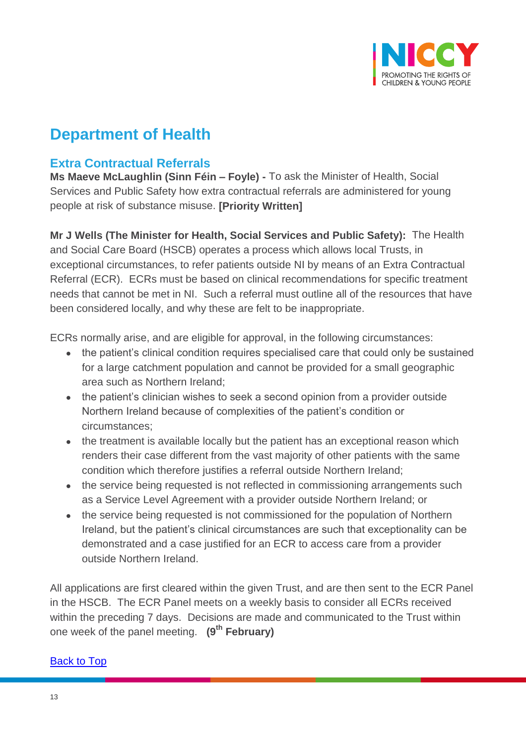

## **Department of Health**

### <span id="page-12-0"></span>**Extra Contractual Referrals**

**Ms Maeve McLaughlin (Sinn Féin – Foyle) -** To ask the Minister of Health, Social Services and Public Safety how extra contractual referrals are administered for young people at risk of substance misuse. **[Priority Written]**

**Mr J Wells (The Minister for Health, Social Services and Public Safety):** The Health and Social Care Board (HSCB) operates a process which allows local Trusts, in exceptional circumstances, to refer patients outside NI by means of an Extra Contractual Referral (ECR). ECRs must be based on clinical recommendations for specific treatment needs that cannot be met in NI. Such a referral must outline all of the resources that have been considered locally, and why these are felt to be inappropriate.

ECRs normally arise, and are eligible for approval, in the following circumstances:

- the patient's clinical condition requires specialised care that could only be sustained for a large catchment population and cannot be provided for a small geographic area such as Northern Ireland;
- the patient's clinician wishes to seek a second opinion from a provider outside Northern Ireland because of complexities of the patient's condition or circumstances;
- the treatment is available locally but the patient has an exceptional reason which renders their case different from the vast majority of other patients with the same condition which therefore justifies a referral outside Northern Ireland;
- the service being requested is not reflected in commissioning arrangements such as a Service Level Agreement with a provider outside Northern Ireland; or
- the service being requested is not commissioned for the population of Northern Ireland, but the patient's clinical circumstances are such that exceptionality can be demonstrated and a case justified for an ECR to access care from a provider outside Northern Ireland.

All applications are first cleared within the given Trust, and are then sent to the ECR Panel in the HSCB. The ECR Panel meets on a weekly basis to consider all ECRs received within the preceding 7 days. Decisions are made and communicated to the Trust within one week of the panel meeting. **(9th February)**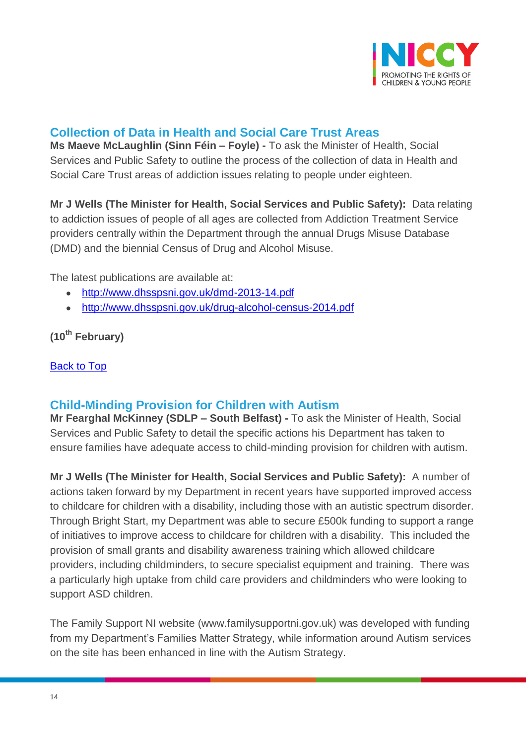

## <span id="page-13-0"></span>**Collection of Data in Health and Social Care Trust Areas**

**Ms Maeve McLaughlin (Sinn Féin – Foyle) -** To ask the Minister of Health, Social Services and Public Safety to outline the process of the collection of data in Health and Social Care Trust areas of addiction issues relating to people under eighteen.

**Mr J Wells (The Minister for Health, Social Services and Public Safety):** Data relating to addiction issues of people of all ages are collected from Addiction Treatment Service providers centrally within the Department through the annual Drugs Misuse Database (DMD) and the biennial Census of Drug and Alcohol Misuse.

The latest publications are available at:

- <http://www.dhsspsni.gov.uk/dmd-2013-14.pdf>
- <http://www.dhsspsni.gov.uk/drug-alcohol-census-2014.pdf>

**(10th February)**

#### [Back to Top](#page-0-0)

### <span id="page-13-1"></span>**Child-Minding Provision for Children with Autism**

**Mr Fearghal McKinney (SDLP – South Belfast) -** To ask the Minister of Health, Social Services and Public Safety to detail the specific actions his Department has taken to ensure families have adequate access to child-minding provision for children with autism.

**Mr J Wells (The Minister for Health, Social Services and Public Safety):** A number of actions taken forward by my Department in recent years have supported improved access to childcare for children with a disability, including those with an autistic spectrum disorder. Through Bright Start, my Department was able to secure £500k funding to support a range of initiatives to improve access to childcare for children with a disability. This included the provision of small grants and disability awareness training which allowed childcare providers, including childminders, to secure specialist equipment and training. There was a particularly high uptake from child care providers and childminders who were looking to support ASD children.

The Family Support NI website (www.familysupportni.gov.uk) was developed with funding from my Department's Families Matter Strategy, while information around Autism services on the site has been enhanced in line with the Autism Strategy.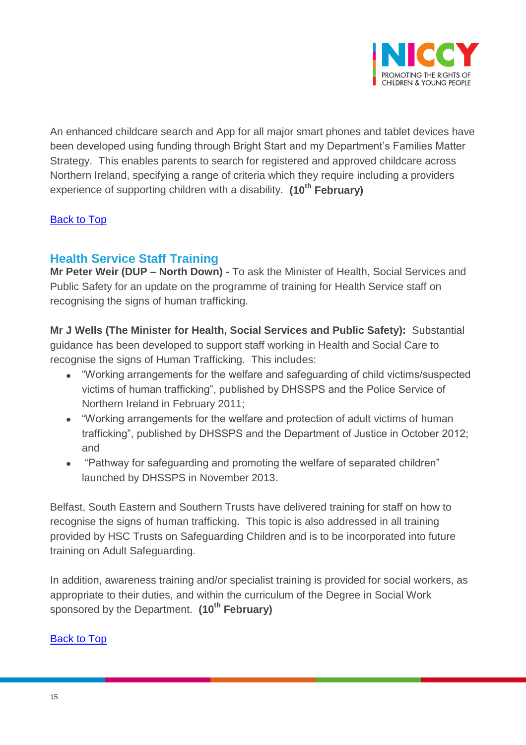

An enhanced childcare search and App for all major smart phones and tablet devices have been developed using funding through Bright Start and my Department's Families Matter Strategy. This enables parents to search for registered and approved childcare across Northern Ireland, specifying a range of criteria which they require including a providers experience of supporting children with a disability. **(10th February)**

### [Back to Top](#page-0-0)

### <span id="page-14-0"></span>**Health Service Staff Training**

**Mr Peter Weir (DUP – North Down) -** To ask the Minister of Health, Social Services and Public Safety for an update on the programme of training for Health Service staff on recognising the signs of human trafficking.

**Mr J Wells (The Minister for Health, Social Services and Public Safety):** Substantial guidance has been developed to support staff working in Health and Social Care to recognise the signs of Human Trafficking. This includes:

- "Working arrangements for the welfare and safeguarding of child victims/suspected victims of human trafficking", published by DHSSPS and the Police Service of Northern Ireland in February 2011;
- "Working arrangements for the welfare and protection of adult victims of human trafficking", published by DHSSPS and the Department of Justice in October 2012; and
- "Pathway for safeguarding and promoting the welfare of separated children" launched by DHSSPS in November 2013.

Belfast, South Eastern and Southern Trusts have delivered training for staff on how to recognise the signs of human trafficking. This topic is also addressed in all training provided by HSC Trusts on Safeguarding Children and is to be incorporated into future training on Adult Safeguarding.

In addition, awareness training and/or specialist training is provided for social workers, as appropriate to their duties, and within the curriculum of the Degree in Social Work sponsored by the Department. **(10th February)**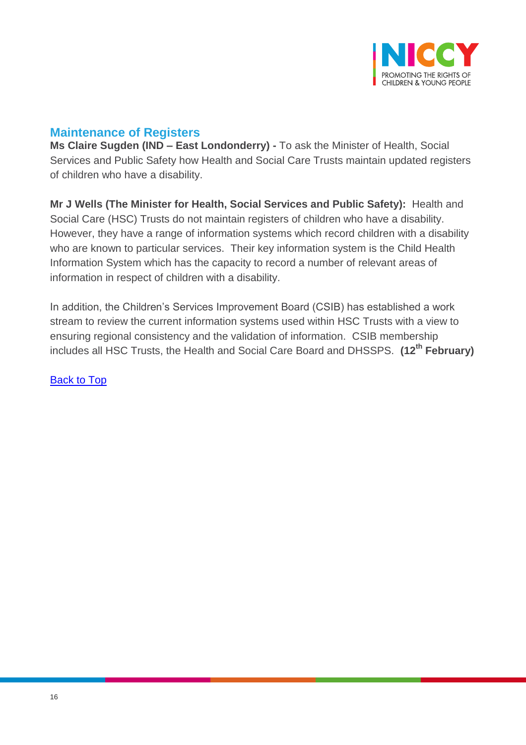

### <span id="page-15-0"></span>**Maintenance of Registers**

**Ms Claire Sugden (IND – East Londonderry) -** To ask the Minister of Health, Social Services and Public Safety how Health and Social Care Trusts maintain updated registers of children who have a disability.

**Mr J Wells (The Minister for Health, Social Services and Public Safety):** Health and Social Care (HSC) Trusts do not maintain registers of children who have a disability. However, they have a range of information systems which record children with a disability who are known to particular services. Their key information system is the Child Health Information System which has the capacity to record a number of relevant areas of information in respect of children with a disability.

In addition, the Children's Services Improvement Board (CSIB) has established a work stream to review the current information systems used within HSC Trusts with a view to ensuring regional consistency and the validation of information. CSIB membership includes all HSC Trusts, the Health and Social Care Board and DHSSPS. **(12th February)**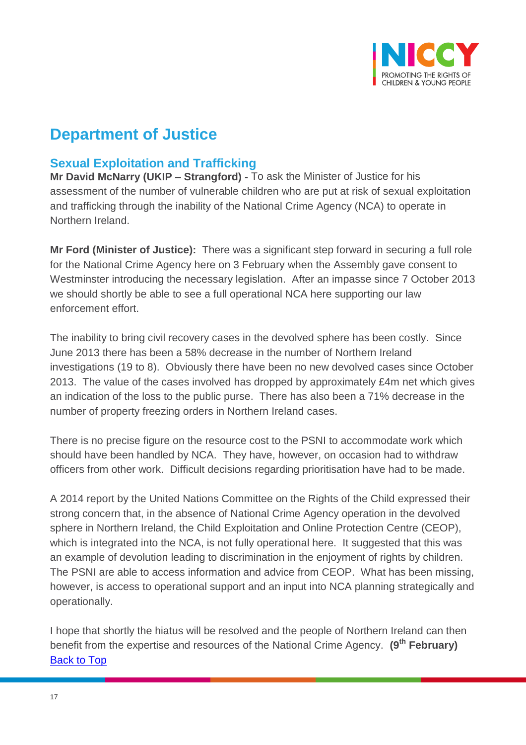

## **Department of Justice**

## <span id="page-16-0"></span>**Sexual Exploitation and Trafficking**

**Mr David McNarry (UKIP – Strangford) -** To ask the Minister of Justice for his assessment of the number of vulnerable children who are put at risk of sexual exploitation and trafficking through the inability of the National Crime Agency (NCA) to operate in Northern Ireland.

**Mr Ford (Minister of Justice):** There was a significant step forward in securing a full role for the National Crime Agency here on 3 February when the Assembly gave consent to Westminster introducing the necessary legislation. After an impasse since 7 October 2013 we should shortly be able to see a full operational NCA here supporting our law enforcement effort.

The inability to bring civil recovery cases in the devolved sphere has been costly. Since June 2013 there has been a 58% decrease in the number of Northern Ireland investigations (19 to 8). Obviously there have been no new devolved cases since October 2013. The value of the cases involved has dropped by approximately £4m net which gives an indication of the loss to the public purse. There has also been a 71% decrease in the number of property freezing orders in Northern Ireland cases.

There is no precise figure on the resource cost to the PSNI to accommodate work which should have been handled by NCA. They have, however, on occasion had to withdraw officers from other work. Difficult decisions regarding prioritisation have had to be made.

A 2014 report by the United Nations Committee on the Rights of the Child expressed their strong concern that, in the absence of National Crime Agency operation in the devolved sphere in Northern Ireland, the Child Exploitation and Online Protection Centre (CEOP), which is integrated into the NCA, is not fully operational here. It suggested that this was an example of devolution leading to discrimination in the enjoyment of rights by children. The PSNI are able to access information and advice from CEOP. What has been missing, however, is access to operational support and an input into NCA planning strategically and operationally.

I hope that shortly the hiatus will be resolved and the people of Northern Ireland can then benefit from the expertise and resources of the National Crime Agency. **(9th February)** [Back to Top](#page-0-0)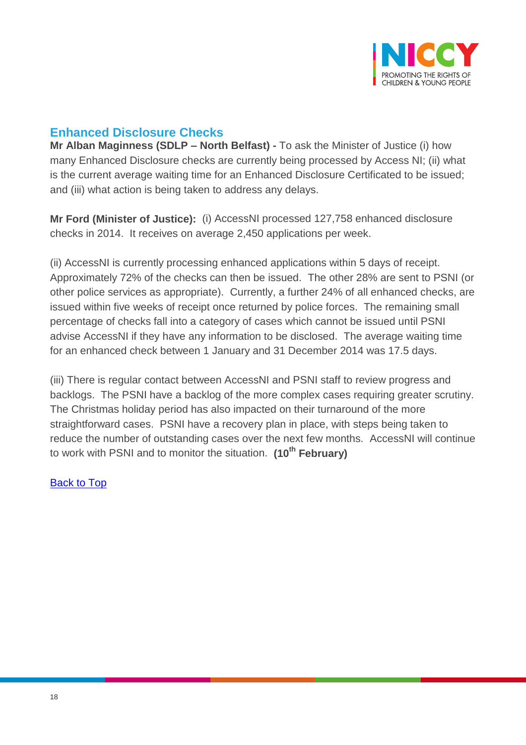

## <span id="page-17-0"></span>**Enhanced Disclosure Checks**

**Mr Alban Maginness (SDLP – North Belfast) -** To ask the Minister of Justice (i) how many Enhanced Disclosure checks are currently being processed by Access NI; (ii) what is the current average waiting time for an Enhanced Disclosure Certificated to be issued; and (iii) what action is being taken to address any delays.

**Mr Ford (Minister of Justice):** (i) AccessNI processed 127,758 enhanced disclosure checks in 2014. It receives on average 2,450 applications per week.

(ii) AccessNI is currently processing enhanced applications within 5 days of receipt. Approximately 72% of the checks can then be issued. The other 28% are sent to PSNI (or other police services as appropriate). Currently, a further 24% of all enhanced checks, are issued within five weeks of receipt once returned by police forces. The remaining small percentage of checks fall into a category of cases which cannot be issued until PSNI advise AccessNI if they have any information to be disclosed. The average waiting time for an enhanced check between 1 January and 31 December 2014 was 17.5 days.

(iii) There is regular contact between AccessNI and PSNI staff to review progress and backlogs. The PSNI have a backlog of the more complex cases requiring greater scrutiny. The Christmas holiday period has also impacted on their turnaround of the more straightforward cases. PSNI have a recovery plan in place, with steps being taken to reduce the number of outstanding cases over the next few months. AccessNI will continue to work with PSNI and to monitor the situation. **(10th February)**